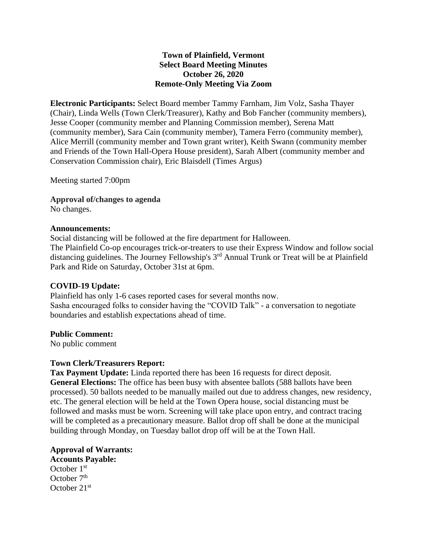### **Town of Plainfield, Vermont Select Board Meeting Minutes October 26, 2020 Remote-Only Meeting Via Zoom**

**Electronic Participants:** Select Board member Tammy Farnham, Jim Volz, Sasha Thayer (Chair), Linda Wells (Town Clerk/Treasurer), Kathy and Bob Fancher (community members), Jesse Cooper (community member and Planning Commission member), Serena Matt (community member), Sara Cain (community member), Tamera Ferro (community member), Alice Merrill (community member and Town grant writer), Keith Swann (community member and Friends of the Town Hall-Opera House president), Sarah Albert (community member and Conservation Commission chair), Eric Blaisdell (Times Argus)

Meeting started 7:00pm

**Approval of/changes to agenda** No changes.

#### **Announcements:**

Social distancing will be followed at the fire department for Halloween. The Plainfield Co-op encourages trick-or-treaters to use their Express Window and follow social distancing guidelines. The Journey Fellowship's 3<sup>rd</sup> Annual Trunk or Treat will be at Plainfield Park and Ride on Saturday, October 31st at 6pm.

#### **COVID-19 Update:**

Plainfield has only 1-6 cases reported cases for several months now. Sasha encouraged folks to consider having the "COVID Talk" - a conversation to negotiate boundaries and establish expectations ahead of time.

#### **Public Comment:**

No public comment

#### **Town Clerk/Treasurers Report:**

**Tax Payment Update:** Linda reported there has been 16 requests for direct deposit. **General Elections:** The office has been busy with absentee ballots (588 ballots have been processed). 50 ballots needed to be manually mailed out due to address changes, new residency, etc. The general election will be held at the Town Opera house, social distancing must be followed and masks must be worn. Screening will take place upon entry, and contract tracing will be completed as a precautionary measure. Ballot drop off shall be done at the municipal building through Monday, on Tuesday ballot drop off will be at the Town Hall.

**Approval of Warrants: Accounts Payable:** October 1<sup>st</sup> October  $7<sup>th</sup>$ October 21st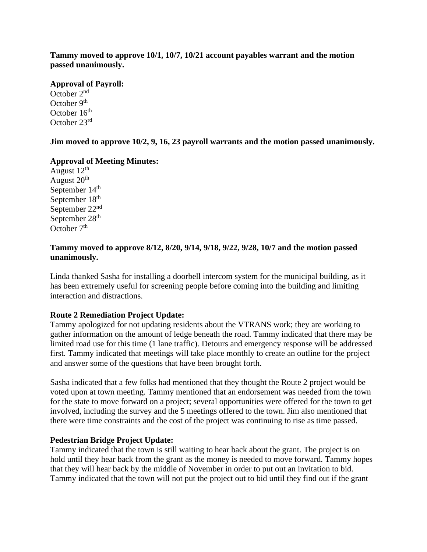**Tammy moved to approve 10/1, 10/7, 10/21 account payables warrant and the motion passed unanimously.**

#### **Approval of Payroll:**

October 2nd October  $9<sup>th</sup>$ October 16<sup>th</sup> October 23rd

**Jim moved to approve 10/2, 9, 16, 23 payroll warrants and the motion passed unanimously.**

#### **Approval of Meeting Minutes:**

August  $12<sup>th</sup>$ August 20<sup>th</sup> September 14<sup>th</sup> September 18<sup>th</sup> September 22nd September 28<sup>th</sup> October  $7<sup>th</sup>$ 

#### **Tammy moved to approve 8/12, 8/20, 9/14, 9/18, 9/22, 9/28, 10/7 and the motion passed unanimously.**

Linda thanked Sasha for installing a doorbell intercom system for the municipal building, as it has been extremely useful for screening people before coming into the building and limiting interaction and distractions.

## **Route 2 Remediation Project Update:**

Tammy apologized for not updating residents about the VTRANS work; they are working to gather information on the amount of ledge beneath the road. Tammy indicated that there may be limited road use for this time (1 lane traffic). Detours and emergency response will be addressed first. Tammy indicated that meetings will take place monthly to create an outline for the project and answer some of the questions that have been brought forth.

Sasha indicated that a few folks had mentioned that they thought the Route 2 project would be voted upon at town meeting. Tammy mentioned that an endorsement was needed from the town for the state to move forward on a project; several opportunities were offered for the town to get involved, including the survey and the 5 meetings offered to the town. Jim also mentioned that there were time constraints and the cost of the project was continuing to rise as time passed.

#### **Pedestrian Bridge Project Update:**

Tammy indicated that the town is still waiting to hear back about the grant. The project is on hold until they hear back from the grant as the money is needed to move forward. Tammy hopes that they will hear back by the middle of November in order to put out an invitation to bid. Tammy indicated that the town will not put the project out to bid until they find out if the grant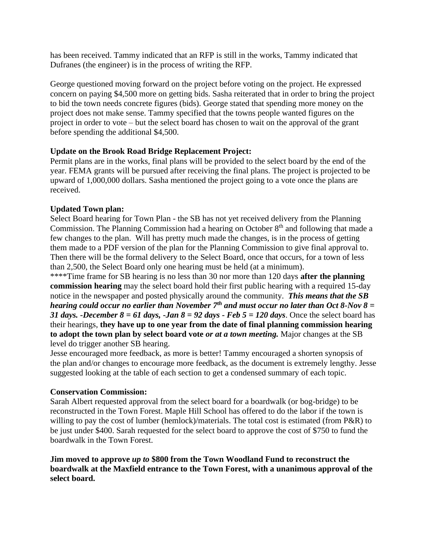has been received. Tammy indicated that an RFP is still in the works, Tammy indicated that Dufranes (the engineer) is in the process of writing the RFP.

George questioned moving forward on the project before voting on the project. He expressed concern on paying \$4,500 more on getting bids. Sasha reiterated that in order to bring the project to bid the town needs concrete figures (bids). George stated that spending more money on the project does not make sense. Tammy specified that the towns people wanted figures on the project in order to vote – but the select board has chosen to wait on the approval of the grant before spending the additional \$4,500.

## **Update on the Brook Road Bridge Replacement Project:**

Permit plans are in the works, final plans will be provided to the select board by the end of the year. FEMA grants will be pursued after receiving the final plans. The project is projected to be upward of 1,000,000 dollars. Sasha mentioned the project going to a vote once the plans are received.

### **Updated Town plan:**

Select Board hearing for Town Plan - the SB has not yet received delivery from the Planning Commission. The Planning Commission had a hearing on October  $8<sup>th</sup>$  and following that made a few changes to the plan. Will has pretty much made the changes, is in the process of getting them made to a PDF version of the plan for the Planning Commission to give final approval to. Then there will be the formal delivery to the Select Board, once that occurs, for a town of less than 2,500, the Select Board only one hearing must be held (at a minimum).

\*\*\*\*Time frame for SB hearing is no less than 30 nor more than 120 days **after the planning commission hearing** may the select board hold their first public hearing with a required 15-day notice in the newspaper and posted physically around the community. *This means that the SB hearing could occur no earlier than November 7th and must occur no later than Oct 8-Nov 8 = 31 days. -December 8 = 61 days, -Jan 8 = 92 days - Feb 5 = 120 days.* Once the select board has their hearings, **they have up to one year from the date of final planning commission hearing to adopt the town plan by select board vote** *or at a town meeting.* Major changes at the SB level do trigger another SB hearing.

Jesse encouraged more feedback, as more is better! Tammy encouraged a shorten synopsis of the plan and/or changes to encourage more feedback, as the document is extremely lengthy. Jesse suggested looking at the table of each section to get a condensed summary of each topic.

#### **Conservation Commission:**

Sarah Albert requested approval from the select board for a boardwalk (or bog-bridge) to be reconstructed in the Town Forest. Maple Hill School has offered to do the labor if the town is willing to pay the cost of lumber (hemlock)/materials. The total cost is estimated (from P&R) to be just under \$400. Sarah requested for the select board to approve the cost of \$750 to fund the boardwalk in the Town Forest.

**Jim moved to approve** *up to* **\$800 from the Town Woodland Fund to reconstruct the boardwalk at the Maxfield entrance to the Town Forest, with a unanimous approval of the select board.**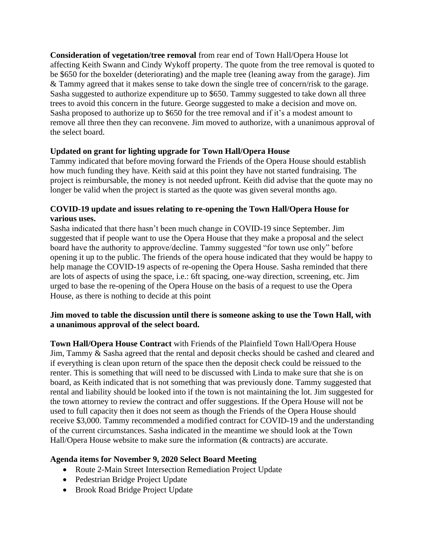**Consideration of vegetation/tree removal** from rear end of Town Hall/Opera House lot affecting Keith Swann and Cindy Wykoff property. The quote from the tree removal is quoted to be \$650 for the boxelder (deteriorating) and the maple tree (leaning away from the garage). Jim & Tammy agreed that it makes sense to take down the single tree of concern/risk to the garage. Sasha suggested to authorize expenditure up to \$650. Tammy suggested to take down all three trees to avoid this concern in the future. George suggested to make a decision and move on. Sasha proposed to authorize up to \$650 for the tree removal and if it's a modest amount to remove all three then they can reconvene. Jim moved to authorize, with a unanimous approval of the select board.

# **Updated on grant for lighting upgrade for Town Hall/Opera House**

Tammy indicated that before moving forward the Friends of the Opera House should establish how much funding they have. Keith said at this point they have not started fundraising. The project is reimbursable, the money is not needed upfront. Keith did advise that the quote may no longer be valid when the project is started as the quote was given several months ago.

# **COVID-19 update and issues relating to re-opening the Town Hall/Opera House for various uses.**

Sasha indicated that there hasn't been much change in COVID-19 since September. Jim suggested that if people want to use the Opera House that they make a proposal and the select board have the authority to approve/decline. Tammy suggested "for town use only" before opening it up to the public. The friends of the opera house indicated that they would be happy to help manage the COVID-19 aspects of re-opening the Opera House. Sasha reminded that there are lots of aspects of using the space, i.e.: 6ft spacing, one-way direction, screening, etc. Jim urged to base the re-opening of the Opera House on the basis of a request to use the Opera House, as there is nothing to decide at this point

### **Jim moved to table the discussion until there is someone asking to use the Town Hall, with a unanimous approval of the select board.**

**Town Hall/Opera House Contract** with Friends of the Plainfield Town Hall/Opera House Jim, Tammy & Sasha agreed that the rental and deposit checks should be cashed and cleared and if everything is clean upon return of the space then the deposit check could be reissued to the renter. This is something that will need to be discussed with Linda to make sure that she is on board, as Keith indicated that is not something that was previously done. Tammy suggested that rental and liability should be looked into if the town is not maintaining the lot. Jim suggested for the town attorney to review the contract and offer suggestions. If the Opera House will not be used to full capacity then it does not seem as though the Friends of the Opera House should receive \$3,000. Tammy recommended a modified contract for COVID-19 and the understanding of the current circumstances. Sasha indicated in the meantime we should look at the Town Hall/Opera House website to make sure the information (& contracts) are accurate.

## **Agenda items for November 9, 2020 Select Board Meeting**

- Route 2-Main Street Intersection Remediation Project Update
- Pedestrian Bridge Project Update
- Brook Road Bridge Project Update